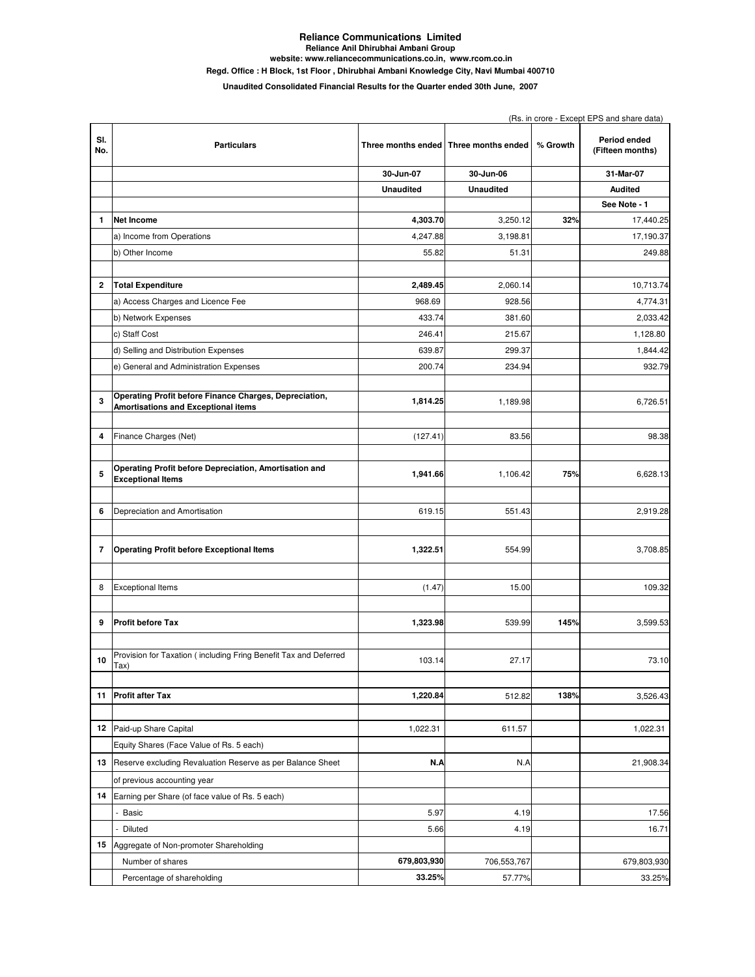## **Reliance Communications Limited Reliance Anil Dhirubhai Ambani Group Regd. Office : H Block, 1st Floor , Dhirubhai Ambani Knowledge City, Navi Mumbai 400710 website: www.reliancecommunications.co.in, www.rcom.co.in**

**Unaudited Consolidated Financial Results for the Quarter ended 30th June, 2007**

|            | (Rs. in crore - Except EPS and share data)                                                           |                  |                                         |          |                                  |
|------------|------------------------------------------------------------------------------------------------------|------------------|-----------------------------------------|----------|----------------------------------|
| SI.<br>No. | <b>Particulars</b>                                                                                   |                  | Three months ended   Three months ended | % Growth | Period ended<br>(Fifteen months) |
|            |                                                                                                      | 30-Jun-07        | 30-Jun-06                               |          | 31-Mar-07                        |
|            |                                                                                                      | <b>Unaudited</b> | <b>Unaudited</b>                        |          | <b>Audited</b>                   |
|            |                                                                                                      |                  |                                         |          | See Note - 1                     |
| 1          | <b>Net Income</b>                                                                                    | 4,303.70         | 3,250.12                                | 32%      | 17,440.25                        |
|            | a) Income from Operations                                                                            | 4,247.88         | 3,198.81                                |          | 17,190.37                        |
|            | b) Other Income                                                                                      | 55.82            | 51.31                                   |          | 249.88                           |
|            |                                                                                                      |                  |                                         |          |                                  |
| 2          | <b>Total Expenditure</b>                                                                             | 2,489.45         | 2,060.14                                |          | 10,713.74                        |
|            | a) Access Charges and Licence Fee                                                                    | 968.69           | 928.56                                  |          | 4,774.31                         |
|            | b) Network Expenses                                                                                  | 433.74           | 381.60                                  |          | 2,033.42                         |
|            | c) Staff Cost                                                                                        | 246.41           | 215.67                                  |          | 1,128.80                         |
|            | d) Selling and Distribution Expenses                                                                 | 639.87           | 299.37                                  |          | 1,844.42                         |
|            | e) General and Administration Expenses                                                               | 200.74           | 234.94                                  |          | 932.79                           |
|            |                                                                                                      |                  |                                         |          |                                  |
| 3          | Operating Profit before Finance Charges, Depreciation,<br><b>Amortisations and Exceptional items</b> | 1,814.25         | 1,189.98                                |          | 6,726.51                         |
|            |                                                                                                      |                  |                                         |          |                                  |
| 4          | Finance Charges (Net)                                                                                | (127.41)         | 83.56                                   |          | 98.38                            |
|            |                                                                                                      |                  |                                         |          |                                  |
| 5          | Operating Profit before Depreciation, Amortisation and<br><b>Exceptional Items</b>                   | 1,941.66         | 1,106.42                                | 75%      | 6,628.13                         |
|            |                                                                                                      |                  |                                         |          |                                  |
| 6          | Depreciation and Amortisation                                                                        | 619.15           | 551.43                                  |          | 2,919.28                         |
|            |                                                                                                      |                  |                                         |          |                                  |
| 7          | <b>Operating Profit before Exceptional Items</b>                                                     | 1,322.51         | 554.99                                  |          | 3,708.85                         |
| 8          | <b>Exceptional Items</b>                                                                             | (1.47)           | 15.00                                   |          | 109.32                           |
|            |                                                                                                      |                  |                                         |          |                                  |
| 9          | <b>Profit before Tax</b>                                                                             | 1,323.98         | 539.99                                  | 145%     | 3,599.53                         |
|            | Provision for Taxation (including Fring Benefit Tax and Deferred                                     |                  |                                         |          |                                  |
| 10         | Tax)                                                                                                 | 103.14           | 27.17                                   |          | 73.10                            |
|            |                                                                                                      |                  |                                         |          |                                  |
| 11         | <b>Profit after Tax</b>                                                                              | 1,220.84         | 512.82                                  | 138%     | 3,526.43                         |
|            |                                                                                                      |                  |                                         |          |                                  |
| 12         | Paid-up Share Capital                                                                                | 1,022.31         | 611.57                                  |          | 1,022.31                         |
|            | Equity Shares (Face Value of Rs. 5 each)                                                             |                  |                                         |          |                                  |
| 13         | Reserve excluding Revaluation Reserve as per Balance Sheet                                           | N.A              | N.A                                     |          | 21,908.34                        |
|            | of previous accounting year                                                                          |                  |                                         |          |                                  |
| 14         | Earning per Share (of face value of Rs. 5 each)                                                      |                  |                                         |          |                                  |
|            | - Basic                                                                                              | 5.97             | 4.19                                    |          | 17.56                            |
|            | - Diluted                                                                                            | 5.66             | 4.19                                    |          | 16.71                            |
| 15         | Aggregate of Non-promoter Shareholding                                                               |                  |                                         |          |                                  |
|            | Number of shares                                                                                     | 679,803,930      | 706,553,767                             |          | 679,803,930                      |
|            | Percentage of shareholding                                                                           | 33.25%           | 57.77%                                  |          | 33.25%                           |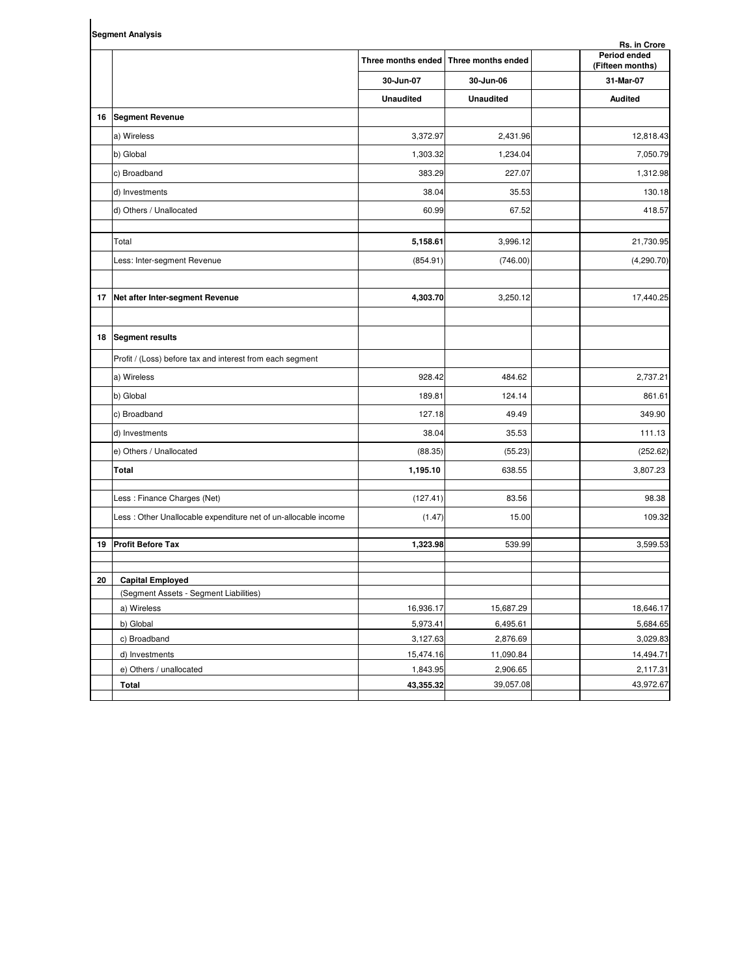|    | <b>Segment Analysis</b><br>Rs. in Crore                         |                  |                                       |                                  |  |  |  |  |
|----|-----------------------------------------------------------------|------------------|---------------------------------------|----------------------------------|--|--|--|--|
|    |                                                                 |                  | Three months ended Three months ended | Period ended<br>(Fifteen months) |  |  |  |  |
|    |                                                                 | 30-Jun-07        | 30-Jun-06                             | 31-Mar-07                        |  |  |  |  |
|    |                                                                 | <b>Unaudited</b> | <b>Unaudited</b>                      | <b>Audited</b>                   |  |  |  |  |
| 16 | <b>Segment Revenue</b>                                          |                  |                                       |                                  |  |  |  |  |
|    | a) Wireless                                                     | 3,372.97         | 2,431.96                              | 12,818.43                        |  |  |  |  |
|    | b) Global                                                       | 1,303.32         | 1,234.04                              | 7,050.79                         |  |  |  |  |
|    | c) Broadband                                                    | 383.29           | 227.07                                | 1,312.98                         |  |  |  |  |
|    | d) Investments                                                  | 38.04            | 35.53                                 | 130.18                           |  |  |  |  |
|    | d) Others / Unallocated                                         | 60.99            | 67.52                                 | 418.57                           |  |  |  |  |
|    | Total                                                           | 5,158.61         | 3,996.12                              | 21,730.95                        |  |  |  |  |
|    | Less: Inter-segment Revenue                                     | (854.91)         | (746.00)                              | (4,290.70)                       |  |  |  |  |
| 17 | Net after Inter-segment Revenue                                 | 4,303.70         | 3,250.12                              | 17,440.25                        |  |  |  |  |
|    |                                                                 |                  |                                       |                                  |  |  |  |  |
|    | 18 Segment results                                              |                  |                                       |                                  |  |  |  |  |
|    | Profit / (Loss) before tax and interest from each segment       |                  |                                       |                                  |  |  |  |  |
|    | a) Wireless                                                     | 928.42           | 484.62                                | 2,737.21                         |  |  |  |  |
|    | b) Global                                                       | 189.81           | 124.14                                | 861.61                           |  |  |  |  |
|    | c) Broadband                                                    | 127.18           | 49.49                                 | 349.90                           |  |  |  |  |
|    | d) Investments                                                  | 38.04            | 35.53                                 | 111.13                           |  |  |  |  |
|    | e) Others / Unallocated                                         | (88.35)          | (55.23)                               | (252.62)                         |  |  |  |  |
|    | Total                                                           | 1,195.10         | 638.55                                | 3,807.23                         |  |  |  |  |
|    | Less: Finance Charges (Net)                                     | (127.41)         | 83.56                                 | 98.38                            |  |  |  |  |
|    | Less : Other Unallocable expenditure net of un-allocable income | (1.47)           | 15.00                                 | 109.32                           |  |  |  |  |
| 19 | <b>Profit Before Tax</b>                                        | 1,323.98         | 539.99                                | 3,599.53                         |  |  |  |  |
| 20 | <b>Capital Employed</b>                                         |                  |                                       |                                  |  |  |  |  |
|    | (Segment Assets - Segment Liabilities)                          |                  |                                       |                                  |  |  |  |  |
|    | a) Wireless                                                     | 16,936.17        | 15,687.29                             | 18,646.17                        |  |  |  |  |
|    | b) Global                                                       | 5,973.41         | 6,495.61                              | 5,684.65                         |  |  |  |  |
|    | c) Broadband                                                    | 3,127.63         | 2,876.69                              | 3,029.83                         |  |  |  |  |
|    | d) Investments                                                  | 15,474.16        | 11,090.84                             | 14,494.71                        |  |  |  |  |
|    | e) Others / unallocated                                         | 1,843.95         | 2,906.65                              | 2,117.31                         |  |  |  |  |

**Total 43,355.32** 39,057.08 43,972.67